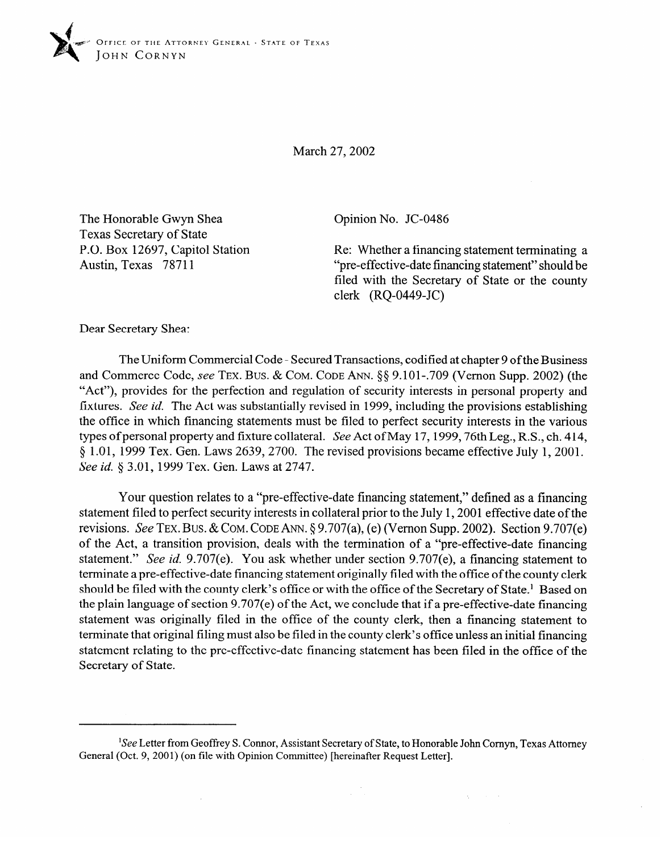

March 27,2002

The Honorable Gwyn Shea Texas Secretary of State P.O. Box 12697, Capitol Station Austin, Texas 78711

Opinion No. JC-0486

Re: Whether a financing statement terminating a "pre-effective-date financing statement" should be filed with the Secretary of State or the county clerk (RQ-0449-JC)

> $\lambda_1$  and  $\lambda_2$  $\mathcal{A}$

Dear Secretary Shea:

The Uniform Commercial Code - Secured Transactions, codified at chapter 9 of the Business<br>and Commerce Code, see TEX. BUS. & COM. CODE ANN.  $\S$ § 9.101-.709 (Vernon Supp. 2002) (the "Act"), provides for the perfection and regulation of security interests in personal property and fixtures. See id. The Act was substantially revised in 1999, including the provisions establishing the office in which financing statements must be filed to perfect security interests in the various types of personal property and fixture collateral. See Act of May 17, 1999, 76th Leg., R.S., ch. 414, types of personal property and fixture collateral. See Tret of May 17,1999,76th Leg., R.S., ch. 414,  $9^{102}$ , 1999 Tex. Gen. Laws 2639, 2700. The revised provisions became effective July 1, 200. See *id. 5* 3.01, 1999 Tex. Gen. Laws at 2747.

Your question relates to a "pre-effective-date financing statement," defined as a financing statement filed to perfect security interests in collateral prior to the July 1, 2001 effective date of the revisions. See TEX. BUS. & COM. CODE ANN.  $\S 9.707(a)$ , (e) (Vernon Supp. 2002). Section 9.707(e) of the Act, a transition provision, deals with the termination of a "pre-effective-date financing statement." See id.  $9.707(e)$ . You ask whether under section  $9.707(e)$ , a financing statement to terminate a pre-effective-date financing statement originally filed with the office of the county clerk should be filed with the county clerk's office or with the office of the Secretary of State.<sup>1</sup> Based on the plain language of section  $9.707(e)$  of the Act, we conclude that if a pre-effective-date financing. statement was originally filed in the office of the county clerk, then a financing statement to terminate that original filing must also be filed in the county clerk's office unless an initial financing statement relating to the pre-effective-date financing statement has been filed in the office of the Secretary of State.

<sup>&</sup>lt;sup>1</sup>See Letter from Geoffrey S. Connor, Assistant Secretary of State, to Honorable John Cornyn, Texas Attorney General (Oct. 9, 2001) (on file with Opinion Committee) [hereinafter Request Letter].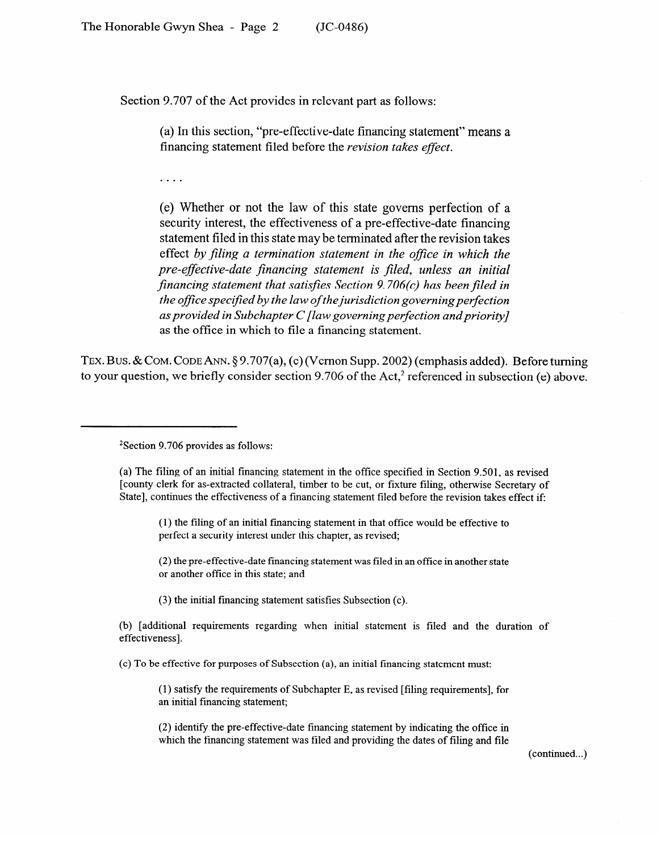Section 9.707 of the Act provides in relevant part as follows:

(a) In this section, "pre-effective-date financing statement" means a financing statement filed before the *revision takes effect.* 

 $\ldots$  .

(e) Whether or not the law of this state governs perfection of a security interest, the effectiveness of a pre-effective-date financing statement filed in this state may be terminated after the revision takes effect *by filing a termination statement in the office in which the pre-effective-date financing statement is filed, unless an initial financing statement that satisfies Section 9.706(c) has been filed in the office specified by the law of the jurisdiction governing perfection as provided in Subchapter C [law governing perfection andpriority]*  as the office in which to file a financing statement.

**TEX.** Bus. & COM. CODE ANN. § 9.707(a), (e) (V emon Supp. 2002) (emphasis added). Before turning  $t_{\rm g}$  your question, we briefly consider section 9.706 of the Act, \* referenced in subsection (e) above.

## <sup>2</sup>Section 9.706 provides as follows: 2Section 9.706 provides as follows:

(a) The filing of an initial financing statement in the office specified in Section 9.501, as revised [county clerk for as-extracted collateral, timber to be cut, or fixture filing, otherwise Secretary of State], continues the effectiveness of a financing statement filed before the revision takes effect if:

(1) the filing of an initial financing statement in that office would be effective to perfect a security interest under this chapter, as revised;

(2) the pre-effective-date financing statement was filed in an office in another state or another office in this state; and

(3) the initial financing statement satisfies Subsection (c).

(b) [additional requirements regarding when initial statement is filed and the duration of effectiveness].

(c) To be effective for purposes of Subsection (a), an initial financing statement must:

(1) satisfy the requirements of Subchapter E, as revised [filing requirements], for an initial financing statement;

which the financing statement was filed and providing the dates of filing and file

(continued...)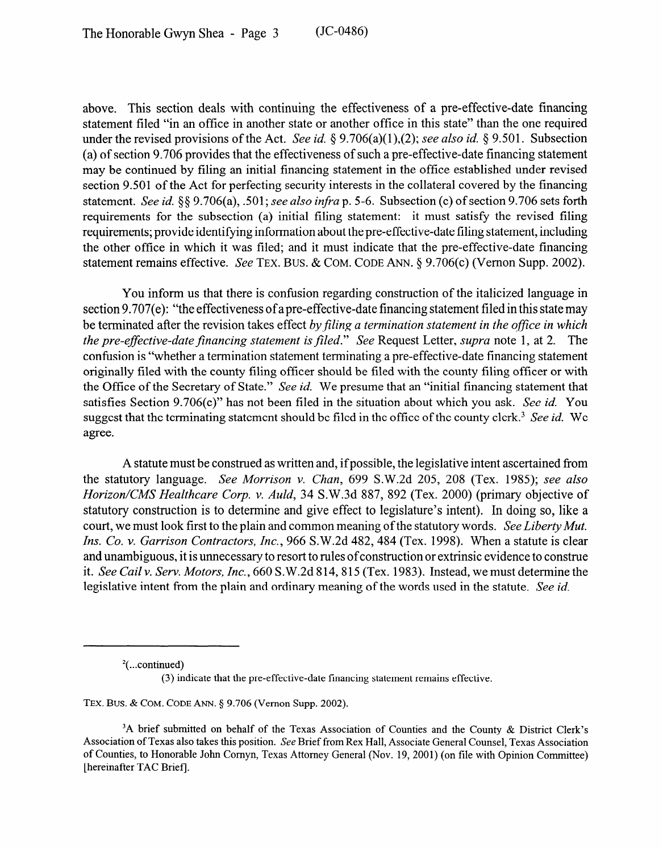above. This section deals with continuing the effectiveness of a pre-effective-date financing statement filed "in an office in another state or another office in this state" than the one required under the revised provisions of the Act. See *id.* 5 9.706(a)(1),(2); see *also id.* 8 9.501. Subsection (a) of section 9.706 provides that the effectiveness of such a pre-effective-date financing statement may be continued by filing an initial financing statement in the office established under revised section 9.501 of the Act for perfecting security interests in the collateral covered by the financing statement. See *id. \$5* 9.706(a), 501; *see also infra* p. 5-6. Subsection (c) of section 9.706 sets forth requirements for the subsection (a) initial filing statement: it must satisfy the revised filing requirements; provide identifying information about the pre-effective-date filing statement, including the other office in which it was filed; and it must indicate that the pre-effective-date financing statement remains effective. See **TEX. BUS.** & **COM. CODE** ANN. 5 9.706(c) (Vernon Supp. 2002).

You inform us that there is confusion regarding construction of the italicized language in section 9.707(e): "the effectiveness of a pre-effective-date financing statement filed in this state may be terminated after the revision takes effect by filing a termination statement in the office in which *the pre-effective-date financing statement is filed."* See Request Letter, *supra* note 1, at 2. The confusion is "whether a termination statement terminating a pre-effective-date financing statement originally filed with the county filing officer should be filed with the county filing officer or with the Office of the Secretary of State." See *id.* We presume that an "initial financing statement that satisfies Section 9.706(c)" has not been filed in the situation about which you ask. See *id. You*  suggest that the terminating statement should be filed in the office of the county clerk.3 See *id.* We agree.

A statute must be construed as written and, if possible, the legislative intent ascertained from the statutory language. *See Morrison v. Ghan, 699* S.W.2d 205, 208 (Tex. 1985); see *also Horizon/CMS Healthcare Corp. v. Auld, 34 S.W.3d 887, 892 (Tex. 2000) (primary objective of* statutory construction is to determine and give effect to legislature's intent). In doing so, like a court, we must look first to the plain and common meaning of the statutory words. *See Liberty Mut. Ins. Co. v. Garrison Contractors, Inc., 966 S.W.2d 482, 484 (Tex. 1998). When a statute is clear* and unambiguous, it is unnecessary to resort to rules of construction or extrinsic evidence to construe it. *See Cail v. Serv. Motors, Inc.*, 660 S.W.2d 814, 815 (Tex. 1983). Instead, we must determine the legislative intent from the plain and ordinary meaning of the words used in the statute. See id.

**TEX. Bus.** & **COM. CODE** ANN. \$9.706 (Vernon Supp. 2002).

 $2$ (...continued)

<sup>(3)</sup> indicate that the pre-effective-date financing statement remains effective.

<sup>&</sup>lt;sup>3</sup>A brief submitted on behalf of the Texas Association of Counties and the County & District Clerk's Association of Texas also takes this position. See Brief from Rex Hall, Associate General Counsel, Texas Association of Counties, to Honorable John Comyn, Texas Attorney General (Nov. 19,200l) (on tile with Opinion Committee) [hereinafter TAC Brief).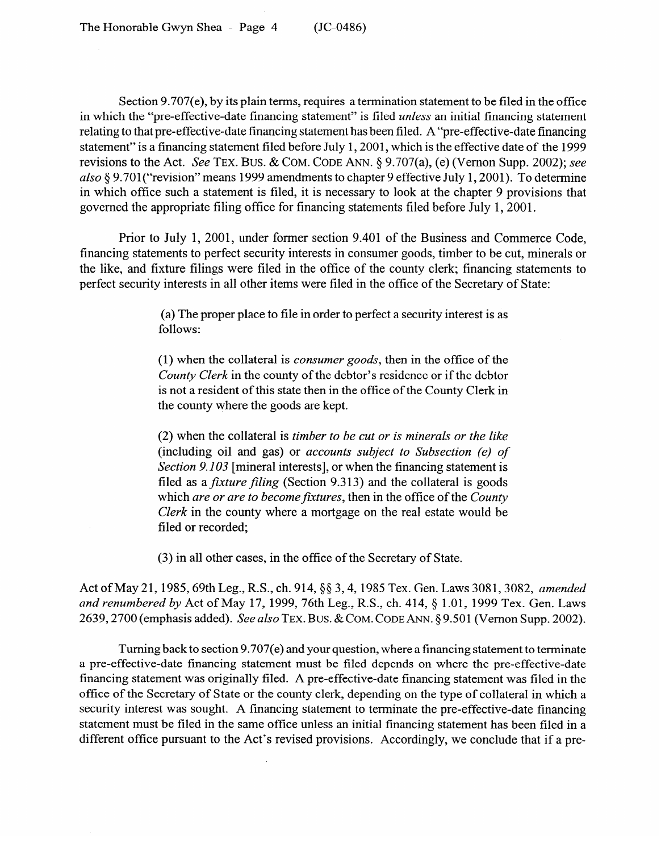The Honorable Gwyn Shea - Page 4 (JC-0486)

Section 9.707(e), by its plain terms, requires a termination statement to be filed in the office in which the "pre-effective-date financing statement" is filed *unless* an initial financing statement relating to that pre-effective-date financing statement has been filed. A "pre-effective-date financing statement" is a financing statement filed before July 1,2001, which is the effective date of the 1999 revisions to the Act. See **TEX. BUS.** & **COM. CODE ANN.** 5 9.707(a), (e) (Vernon Supp. 2002); see also § 9.701 ("revision" means 1999 amendments to chapter 9 effective July 1, 2001). To determine in which office such a statement is filed, it is necessary to look at the chapter 9 provisions that governed the appropriate filing office for financing statements filed before July 1,200l.

Prior to July 1, 2001, under former section 9.401 of the Business and Commerce Code, financing statements to perfect security interests in consumer goods, timber to be cut, minerals or the like, and fixture filings were filed in the office of the county clerk; financing statements to perfect security interests in all other items were filed in the office of the Secretary of State:

> (a) The proper place to file in order to perfect a security interest is as follows:

> (1) when the collateral is *consumer goods,* then in the office of the *County Clerk* in the county of the debtor's residence or if the debtor is not a resident of this state then in the office of the County Clerk in the county where the goods are kept.

> (2) when the collateral is *timber to be cut or is minerals or the like*  Section 9.103 [mineral interests], or when the financing statement is filed as a *fixture filing* (Section 9.313) and the collateral is goods which are or are to become fixtures, then in the office of the County *Clerk* in the county where a mortgage on the real estate would be filed or recorded;

 $\mathcal{S}(\mathcal{S})$  in all other cases, in the office of the office of the  $S$ 

Act of May 21, 1985, 69th Leg., R.S., ch. 914, §§ 3, 4, 1985 Tex. Gen. Laws 3081, 3082, amended and renumbered by Act of May 17, 1999, 76th Leg., R.S., ch. 414, § 1.01, 1999 Tex. Gen. Laws 2639, 2700 (emphasis added). *See also* TEX. BUS. & COM. CODE ANN. § 9.501 (Vernon Supp. 2002). 2639,270O (emphasis added). See *also* **TEX. BUS.** & **COM. CODE** ANN. 5 9.501 (Vernon Supp. 2002).

Turning back to section 9.707(e) and your question, where a financing statement to terminate a pre-effective-date financing statement must be filed depends on where the pre-effective-date financing statement was originally filed. A pre-effective-date financing statement was filed in the office of the Secretary of State or the county clerk, depending on the type of collateral in which a security interest was sought. A financing statement to terminate the pre-effective-date financing statement must be filed in the same office unless an initial financing statement has been filed in a different office pursuant to the Act's revised provisions. Accordingly, we conclude that if a pre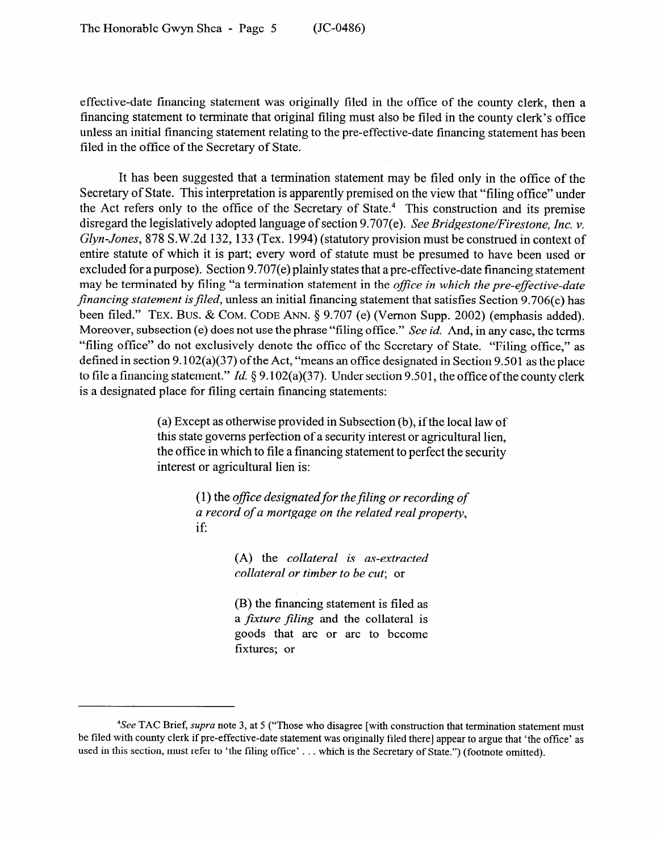effective-date financing statement was originally filed in the office of the county clerk, then a financing statement to terminate that original filing must also be filed in the county clerk's office unless an initial financing statement relating to the pre-effective-date financing statement has been filed in the office of the Secretary of State.

It has been suggested that a termination statement may be filed only in the office of the Secretary of State. This interpretation is apparently premised on the view that "filing office" under the Act refers only to the office of the Secretary of State.4 This construction and its premise disregard the legislatively adopted language of section 9.707(e). See *Bridgestone/Firestone, Inc. v. Glyn-Jones,* 878 S.W.2d 132, 133 (Tex. 1994) (statutory provision must be construed in context of entire statute of which it is part; every word of statute must be presumed to have been used or excluded for a purpose). Section 9.707(e) plainly states that a pre-effective-date financing statement may be terminated by filing "a termination statement in the *office in which the pre-effective-date* financing statement is filed, unless an initial financing statement that satisfies Section 9.706(c) has *filed.*" TEX. BUS. & COM. CODE ANN. § 9.707 (e) (Vernon Supp. 2002) (emphasis added). Moreover, subsection (e) does not use the phrase "filing office." See id. And, in any case, the terms "filing office" do not exclusively denote the office of the Secretary of State. "Filing office," as defined in section 9.102(a)(37) of the Act, "means an office designated in Section 9.501 as the place. to file a financing statement." Id.  $\S 9.102(a)(37)$ . Under section 9.501, the office of the county clerk to the a financing statement." It is  $3^{3152}$ (a)(37). Under section 9.501, the office of the county clerk is a designated place for filing certain financing statements:

> (a) Except as otherwise provided in Subsection  $(b)$ , if the local law of this state governs perfection of a security interest or agricultural lien, the office in which to file a financing statement to perfect the security interest or agricultural lien is: interest or agricultural lien is:

> > *(1)* the ofice *designatedfor the filing or recording of a record of a mortgage on the related real property,*

> > > (A) the collateral is as-extracted  $collateral\ or\ time\ to\ be\ cut;$  or

> > > (B) the financing statement is filed as a *fixture filing* and the collateral is goods that are or are to become fixtures; or

*See TAC Brief, supra note 3, at 5 ("Those who disagree [with construction that termination statement must* be filed with county clerk if pre-effective-date statement was originally filed there] appear to argue that 'the office' as used in this section, must refer to 'the filing office'... which is the Secretary of State.") (footnote omitted).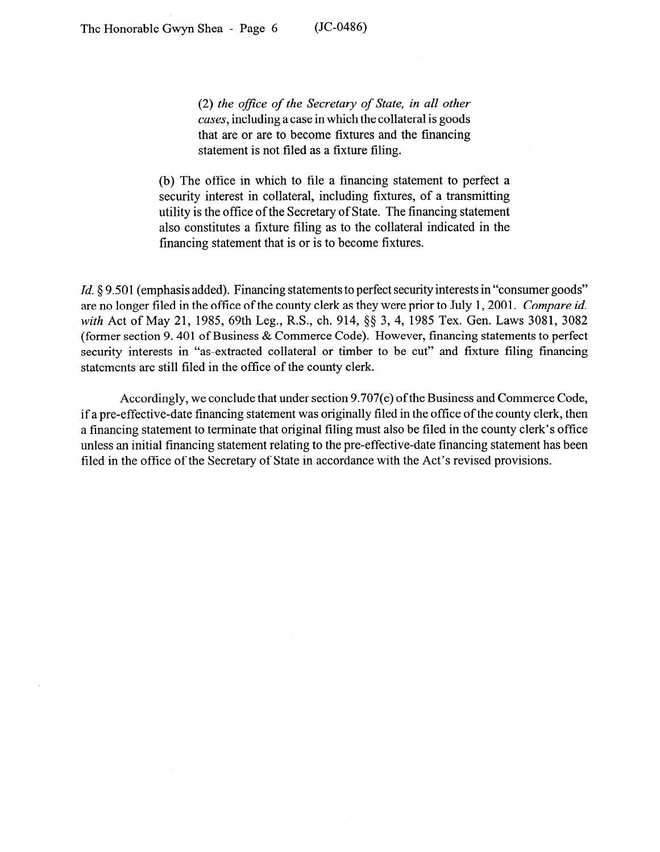(2) the office of the Secretary of State, in all other *cases,* including a case in which the collateral is goods that are or are to become fixtures and the financing statement is not filed as a fixture filing.

(b) The office in which to file a financing statement to perfect a security interest in collateral, including fixtures, of a transmitting utility is the office of the Secretary of State. The financing statement also constitutes a fixture filing as to the collateral indicated in the financing statement that is or is to become fixtures.

*Id.* § 9.501 (emphasis added). Financing statements to perfect security interests in "consumer goods" are no longer filed in the office of the county clerk as they were prior to July 1,200l. *Compare id. with* Act of May 21, 1985, 69th Leg., R.S., ch. 914, \$5 3, 4, 1985 Tex. Gen. Laws 3081, 3082 (former section 9.401 of Business & Commerce Code). However, financing statements to perfect security interests in "as-extracted collateral or timber to be cut" and fixture filing financing statements are still filed in the office of the county clerk.

Accordingly, we conclude that under section 9.707(e) of the Business and Commerce Code, if a pre-effective-date financing statement was originally filed in the office of the county clerk, then a financing statement to terminate that original filing must also be filed in the county clerk's office unless an initial financing statement relating to the pre-effective-date financing statement has been filed in the office of the Secretary of State in accordance with the Act's revised provisions.